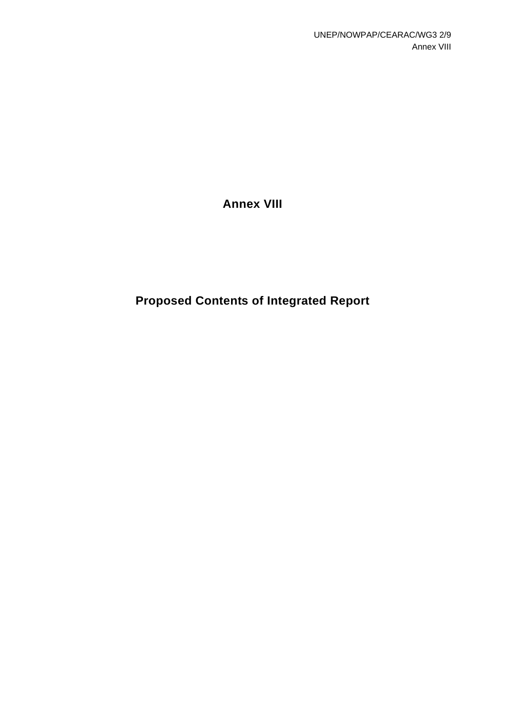**Annex VIII** 

**Proposed Contents of Integrated Report**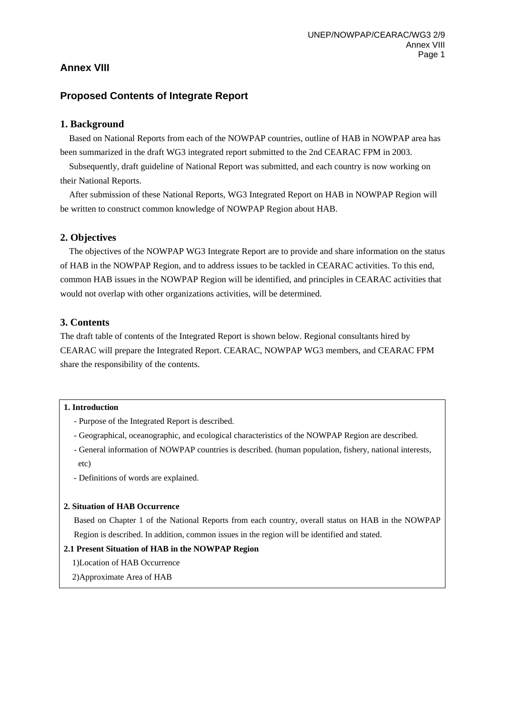# **Annex VIII**

# **Proposed Contents of Integrate Report**

# **1. Background**

Based on National Reports from each of the NOWPAP countries, outline of HAB in NOWPAP area has been summarized in the draft WG3 integrated report submitted to the 2nd CEARAC FPM in 2003.

Subsequently, draft guideline of National Report was submitted, and each country is now working on their National Reports.

After submission of these National Reports, WG3 Integrated Report on HAB in NOWPAP Region will be written to construct common knowledge of NOWPAP Region about HAB.

# **2. Objectives**

The objectives of the NOWPAP WG3 Integrate Report are to provide and share information on the status of HAB in the NOWPAP Region, and to address issues to be tackled in CEARAC activities. To this end, common HAB issues in the NOWPAP Region will be identified, and principles in CEARAC activities that would not overlap with other organizations activities, will be determined.

# **3. Contents**

The draft table of contents of the Integrated Report is shown below. Regional consultants hired by CEARAC will prepare the Integrated Report. CEARAC, NOWPAP WG3 members, and CEARAC FPM share the responsibility of the contents.

#### **1. Introduction**

- Purpose of the Integrated Report is described.
- Geographical, oceanographic, and ecological characteristics of the NOWPAP Region are described.
- General information of NOWPAP countries is described. (human population, fishery, national interests, etc)
- Definitions of words are explained.

#### **2. Situation of HAB Occurrence**

Based on Chapter 1 of the National Reports from each country, overall status on HAB in the NOWPAP Region is described. In addition, common issues in the region will be identified and stated.

#### **2.1 Present Situation of HAB in the NOWPAP Region**

- 1)Location of HAB Occurrence
- 2)Approximate Area of HAB